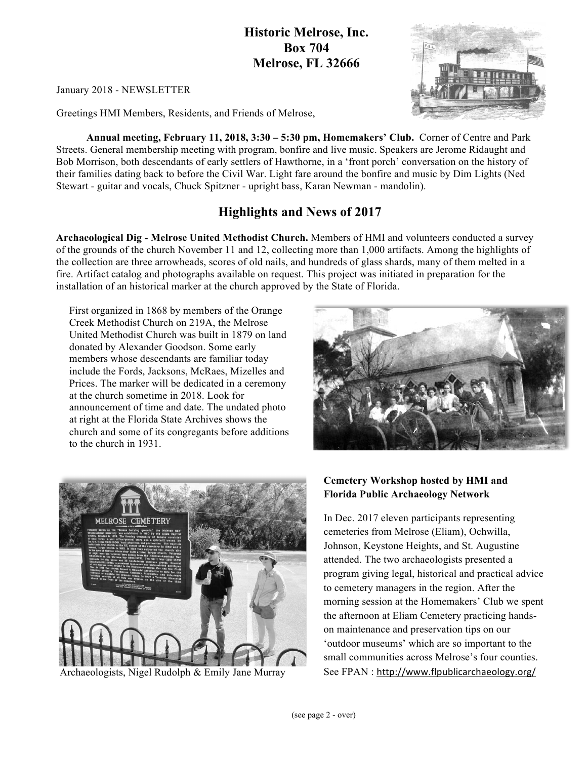### **Historic Melrose, Inc. Box 704 Melrose, FL 32666**

January 2018 - NEWSLETTER

Greetings HMI Members, Residents, and Friends of Melrose,

**Annual meeting, February 11, 2018, 3:30 – 5:30 pm, Homemakers' Club.** Corner of Centre and Park Streets. General membership meeting with program, bonfire and live music. Speakers are Jerome Ridaught and Bob Morrison, both descendants of early settlers of Hawthorne, in a 'front porch' conversation on the history of their families dating back to before the Civil War. Light fare around the bonfire and music by Dim Lights (Ned Stewart - guitar and vocals, Chuck Spitzner - upright bass, Karan Newman - mandolin).

## **Highlights and News of 2017**

**Archaeological Dig - Melrose United Methodist Church.** Members of HMI and volunteers conducted a survey of the grounds of the church November 11 and 12, collecting more than 1,000 artifacts. Among the highlights of the collection are three arrowheads, scores of old nails, and hundreds of glass shards, many of them melted in a fire. Artifact catalog and photographs available on request. This project was initiated in preparation for the installation of an historical marker at the church approved by the State of Florida.

First organized in 1868 by members of the Orange Creek Methodist Church on 219A, the Melrose United Methodist Church was built in 1879 on land donated by Alexander Goodson. Some early members whose descendants are familiar today include the Fords, Jacksons, McRaes, Mizelles and Prices. The marker will be dedicated in a ceremony at the church sometime in 2018. Look for announcement of time and date. The undated photo at right at the Florida State Archives shows the church and some of its congregants before additions to the church in 1931.





Archaeologists, Nigel Rudolph & Emily Jane Murray

### **Cemetery Workshop hosted by HMI and Florida Public Archaeology Network**

In Dec. 2017 eleven participants representing cemeteries from Melrose (Eliam), Ochwilla, Johnson, Keystone Heights, and St. Augustine attended. The two archaeologists presented a program giving legal, historical and practical advice to cemetery managers in the region. After the morning session at the Homemakers' Club we spent the afternoon at Eliam Cemetery practicing handson maintenance and preservation tips on our 'outdoor museums' which are so important to the small communities across Melrose's four counties. See FPAN : http://www.flpublicarchaeology.org/